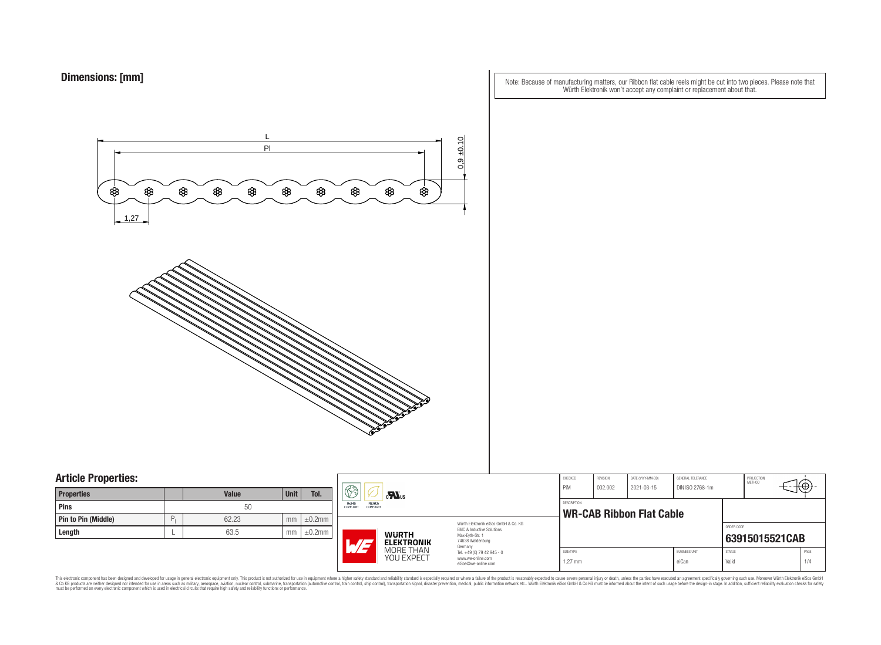Note: Because of manufacturing matters, our Ribbon flat cable reels might be cut into two pieces. Please note that Würth Elektronik won't accept any complaint or replacement about that.



### **Article Properties:**

| <b>Properties</b>          |       | <b>Value</b> | <b>Unit</b> | Tol.         |
|----------------------------|-------|--------------|-------------|--------------|
| Pins                       |       | 50           |             |              |
| <b>Pin to Pin (Middle)</b> | $P_1$ | 62.23        | mm          | $\pm 0.2$ mm |
| Length                     |       | 63.5         | mm          | $\pm 0.2$ mm |

|                                                             | H<br>$c$ <b>N</b> <sub>us</sub> |                                                                                                                                                                                                                              | CHECKED<br>PiM                       | REVISION<br>002.002 | DATE (YYYY-MM-DD)<br>2021-03-15                       | <b>GENERAL TOLERANCE</b><br>DIN ISO 2768-1m |                        | PROJECTION<br>METHOD | ₩₩.            |  |
|-------------------------------------------------------------|---------------------------------|------------------------------------------------------------------------------------------------------------------------------------------------------------------------------------------------------------------------------|--------------------------------------|---------------------|-------------------------------------------------------|---------------------------------------------|------------------------|----------------------|----------------|--|
| RoHS<br>REACh<br><b>COMPLIANT</b><br><b>COMPLIANT</b><br>٦m |                                 |                                                                                                                                                                                                                              |                                      |                     | <b>DESCRIPTION</b><br><b>WR-CAB Ribbon Flat Cable</b> |                                             |                        |                      |                |  |
| ٦m                                                          | $AT -$                          | FMC & Inductive Solutions<br><b>WURTH</b><br>Max-Eyth-Str. 1<br>74638 Waldenburg<br><b>ELEKTRONIK</b><br>Germany<br>MORE THAN<br>Tel. +49 (0) 79 42 945 - 0<br><b>YOU EXPECT</b><br>www.we-online.com<br>eiSos@we-online.com | Würth Elektronik eiSos GmbH & Co. KG |                     |                                                       |                                             |                        | ORDER CODE           | 63915015521CAB |  |
|                                                             |                                 |                                                                                                                                                                                                                              | SIZE/TYPE<br>$1.27$ mm               |                     |                                                       | <b>BUSINESS UNIT</b><br>eiCan               | <b>STATUS</b><br>Valid |                      | PAGE<br>1/4    |  |

This electronic component has been designed and developed for usage in general electronic equipment only. This product is not authorized for subserved requipment where a higher selection equipment where a higher selection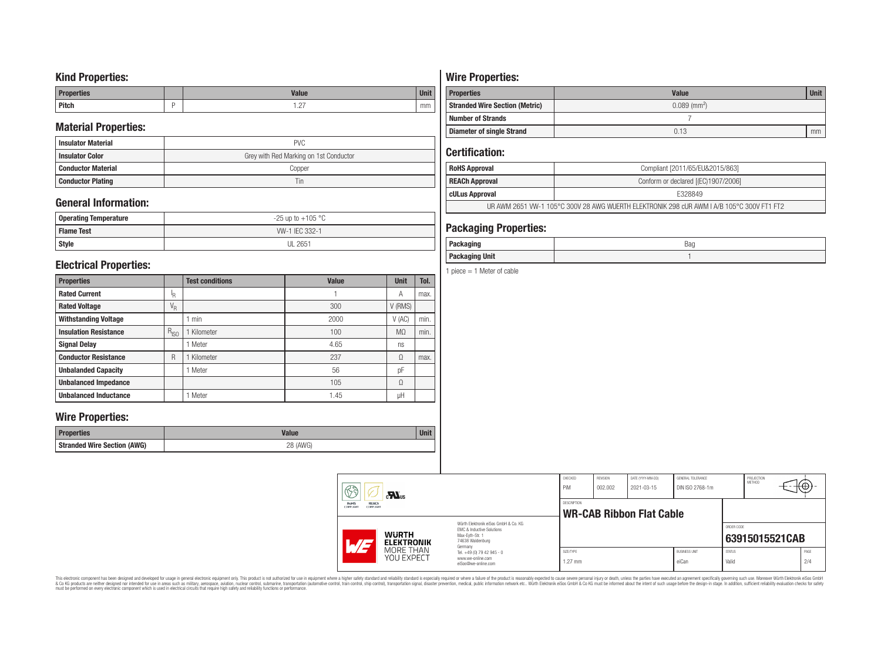## **Kind Properties:**

| <b>Properties</b> | <b>Value</b>                     | <b>Unit</b> |
|-------------------|----------------------------------|-------------|
| <b>Pitch</b>      | $\sim$<br>$\cdot$ $\sim$ $\cdot$ | mm          |

## **Material Properties:**

| <b>Insulator Material</b> | <b>PVC</b>                             |
|---------------------------|----------------------------------------|
| <b>Insulator Color</b>    | Grey with Red Marking on 1st Conductor |
| <b>Conductor Material</b> | Copper                                 |
| <b>Conductor Plating</b>  | Tin                                    |

## **General Information:**

| Operating Temperature | $-25$ up to $+105$ °C |
|-----------------------|-----------------------|
| <b>Flame Test</b>     | W-1 IEC 332-1         |
| <b>Style</b>          | <b>UL 2651</b>        |

## **Electrical Properties:**

| <b>Properties</b>            |                           | <b>Test conditions</b> | <b>Value</b> | <b>Unit</b>    | Tol. |
|------------------------------|---------------------------|------------------------|--------------|----------------|------|
| <b>Rated Current</b>         | ΙŖ.                       |                        |              | Α              | max. |
| <b>Rated Voltage</b>         | $\mathrm{V}_{\mathrm{R}}$ |                        | 300          | V (RMS)        |      |
| <b>Withstanding Voltage</b>  |                           | min                    | 2000         | V(AC)          | min. |
| <b>Insulation Resistance</b> | $R_{ISO}$                 | Kilometer              | 100          | M <sub>0</sub> | min. |
| <b>Signal Delay</b>          |                           | Meter                  | 4.65         | ns             |      |
| <b>Conductor Resistance</b>  | R                         | Kilometer              | 237          | Ω              | max. |
| <b>Unbalanded Capacity</b>   |                           | Meter                  | 56           | pF             |      |
| <b>Unbalanced Impedance</b>  |                           |                        | 105          | Ω              |      |
| <b>Unbalanced Inductance</b> |                           | Meter                  | 1.45         | μH             |      |

## **Wire Properties:**

| Properties                         | <b>Valut</b>   | Unit |
|------------------------------------|----------------|------|
| <b>Stranded Wire Section (AWG)</b> | 28 (AWG)<br>∠∪ |      |

# **Wire Properties:**

| <b>Properties</b>                                                   | <b>Value</b> | <b>Unit</b> |  |
|---------------------------------------------------------------------|--------------|-------------|--|
| $0.089$ (mm <sup>2</sup> )<br><b>Stranded Wire Section (Metric)</b> |              |             |  |
| <b>Number of Strands</b>                                            |              |             |  |
| <b>Diameter of single Strand</b>                                    | 0.13         | mm          |  |

## **Certification:**

| <b>RoHS Approval</b>                                                                      | Compliant [2011/65/EU&2015/863]     |  |  |
|-------------------------------------------------------------------------------------------|-------------------------------------|--|--|
| <b>REACh Approval</b>                                                                     | Conform or declared [(EC)1907/2006] |  |  |
| cULus Approval                                                                            | E328849                             |  |  |
| UR AWM 2651 VW-1 105°C 300V 28 AWG WUERTH ELEKTRONIK 298 cUR AWM I A/B 105°C 300V FT1 FT2 |                                     |  |  |

## **Packaging Properties:**

| <br>rackayıny         | Bag |
|-----------------------|-----|
| <b>Packaging Unit</b> |     |

1 piece  $= 1$  Meter of cable

|  | $\circledS$<br>$\mathbf{M}$ us<br>REACh<br>RoHS<br><b>COMPLIANT</b><br>COMPLIANT |  | CHECKED<br>PiM                                                                                                                                                                                | REVISION<br>002.002             | DATE (YYYY-MM-DD)<br>2021-03-15 | GENERAL TOLERANCE<br>DIN ISO 2768-1m |                               | PROJECTION<br>METHOD   | , <del>ι</del> ⊕' |             |
|--|----------------------------------------------------------------------------------|--|-----------------------------------------------------------------------------------------------------------------------------------------------------------------------------------------------|---------------------------------|---------------------------------|--------------------------------------|-------------------------------|------------------------|-------------------|-------------|
|  |                                                                                  |  | DESCRIPTION                                                                                                                                                                                   | <b>WR-CAB Ribbon Flat Cable</b> |                                 |                                      |                               |                        |                   |             |
|  | <b>WURTH</b><br>1.75<br><b>ELEKTRONIK</b><br>MORE THAN<br>YOU EXPECT             |  | Würth Elektronik eiSos GmbH & Co. KG<br>EMC & Inductive Solutions<br>Max-Evth-Str. 1<br>74638 Waldenburg<br>Germany<br>Tel. +49 (0) 79 42 945 - 0<br>www.we-online.com<br>eiSos@we-online.com |                                 |                                 |                                      |                               | ORDER CODE             | 63915015521CAB    |             |
|  |                                                                                  |  |                                                                                                                                                                                               | SIZE/TYPE<br>$1.27$ mm          |                                 |                                      | <b>BUSINESS UNIT</b><br>eiCan | <b>STATUS</b><br>Valid |                   | PAGE<br>2/4 |

This electronic component has been designed and developed for usage in general electronic equipment only. This product is not authorized for subserved requipment where a higher selection equipment where a higher selection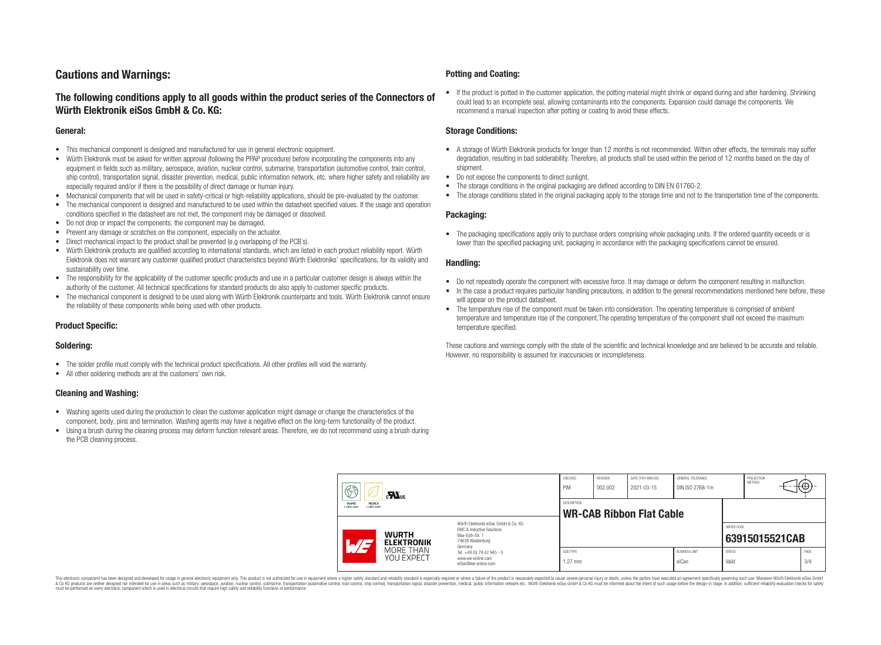## **Cautions and Warnings:**

### **The following conditions apply to all goods within the product series of the Connectors of Würth Elektronik eiSos GmbH & Co. KG:**

#### **General:**

- This mechanical component is designed and manufactured for use in general electronic equipment.
- Würth Elektronik must be asked for written approval (following the PPAP procedure) before incorporating the components into any equipment in fields such as military, aerospace, aviation, nuclear control, submarine, transportation (automotive control, train control, ship control), transportation signal, disaster prevention, medical, public information network, etc. where higher safety and reliability are especially required and/or if there is the possibility of direct damage or human injury.
- Mechanical components that will be used in safety-critical or high-reliability applications, should be pre-evaluated by the customer.
- The mechanical component is designed and manufactured to be used within the datasheet specified values. If the usage and operation conditions specified in the datasheet are not met, the component may be damaged or dissolved.
- Do not drop or impact the components, the component may be damaged.
- Prevent any damage or scratches on the component, especially on the actuator.
- Direct mechanical impact to the product shall be prevented (e.g overlapping of the PCB's).
- Würth Elektronik products are qualified according to international standards, which are listed in each product reliability report. Würth Elektronik does not warrant any customer qualified product characteristics beyond Würth Elektroniks' specifications, for its validity and sustainability over time.
- The responsibility for the applicability of the customer specific products and use in a particular customer design is always within the authority of the customer. All technical specifications for standard products do also apply to customer specific products.
- The mechanical component is designed to be used along with Würth Elektronik counterparts and tools. Würth Elektronik cannot ensure the reliability of these components while being used with other products.

#### **Product Specific:**

#### **Soldering:**

- The solder profile must comply with the technical product specifications. All other profiles will void the warranty.
- All other soldering methods are at the customers' own risk.

#### **Cleaning and Washing:**

- Washing agents used during the production to clean the customer application might damage or change the characteristics of the component, body, pins and termination. Washing agents may have a negative effect on the long-term functionality of the product.
- Using a brush during the cleaning process may deform function relevant areas. Therefore, we do not recommend using a brush during the PCB cleaning process.

#### **Potting and Coating:**

• If the product is potted in the customer application, the potting material might shrink or expand during and after hardening. Shrinking could lead to an incomplete seal, allowing contaminants into the components. Expansion could damage the components. We recommend a manual inspection after potting or coating to avoid these effects.

#### **Storage Conditions:**

- A storage of Würth Elektronik products for longer than 12 months is not recommended. Within other effects, the terminals may suffer degradation, resulting in bad solderability. Therefore, all products shall be used within the period of 12 months based on the day of shipment.
- Do not expose the components to direct sunlight.
- The storage conditions in the original packaging are defined according to DIN EN 61760-2.
- The storage conditions stated in the original packaging apply to the storage time and not to the transportation time of the components.

#### **Packaging:**

• The packaging specifications apply only to purchase orders comprising whole packaging units. If the ordered quantity exceeds or is lower than the specified packaging unit, packaging in accordance with the packaging specifications cannot be ensured.

#### **Handling:**

- Do not repeatedly operate the component with excessive force. It may damage or deform the component resulting in malfunction.
- In the case a product requires particular handling precautions, in addition to the general recommendations mentioned here before, these will appear on the product datasheet
- The temperature rise of the component must be taken into consideration. The operating temperature is comprised of ambient temperature and temperature rise of the component.The operating temperature of the component shall not exceed the maximum temperature specified.

These cautions and warnings comply with the state of the scientific and technical knowledge and are believed to be accurate and reliable. However, no responsibility is assumed for inaccuracies or incompleteness.

| 63<br>$\mathbf{M}_{\text{us}}$<br><b>RoHS</b><br><b>REACh</b><br><b>COMPLIANT</b><br>COMPLIANT |                                                                                                                                               | CHECKED<br>PiM                                        | <b>REVISION</b><br>002.002 | DATE (YYYY-MM-DD)<br>2021-03-15 | GENERAL TOLERANCE<br>DIN ISO 2768-1m |                        | PROJECTION<br><b>METHOD</b> | €⊕∶            |  |  |
|------------------------------------------------------------------------------------------------|-----------------------------------------------------------------------------------------------------------------------------------------------|-------------------------------------------------------|----------------------------|---------------------------------|--------------------------------------|------------------------|-----------------------------|----------------|--|--|
|                                                                                                |                                                                                                                                               | <b>DESCRIPTION</b><br><b>WR-CAB Ribbon Flat Cable</b> |                            |                                 |                                      |                        |                             |                |  |  |
| AT                                                                                             | Würth Flektronik eiSos GmbH & Co. KG<br>EMC & Inductive Solutions<br><b>WURTH</b><br>Max-Evth-Str. 1<br>74638 Waldenburg<br><b>ELEKTRONIK</b> |                                                       |                            |                                 |                                      |                        | ORDER CODE                  | 63915015521CAB |  |  |
| MORE THAN<br><b>YOU EXPECT</b>                                                                 | Germany<br>Tel. +49 (0) 79 42 945 - 0<br>www.we-online.com<br>eiSos@we-online.com                                                             | SIZE/TYPE<br>$1.27$ mm                                |                            |                                 | <b>BUSINESS UNIT</b><br>eiCan        | <b>STATUS</b><br>Valid |                             | PAGE<br>3/4    |  |  |

This electronic component has been designed and developed for usage in general electronic equipment only. This product is not authorized for use in equipment where a higher safety standard and reliability standard si espec & Ook product a label and the membed of the seasuch as marked and as which such a membed and the such assume that income in the seasuch and the simulation and the such assume that include to the such a membed and the such